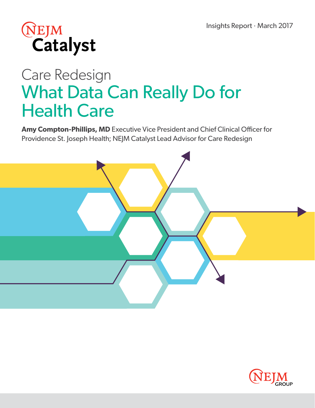

# Care Redesign What Data Can Really Do for Health Care

**Amy Compton-Phillips, MD** Executive Vice President and Chief Clinical Officer for Providence St. Joseph Health; NEJM Catalyst Lead Advisor for Care Redesign



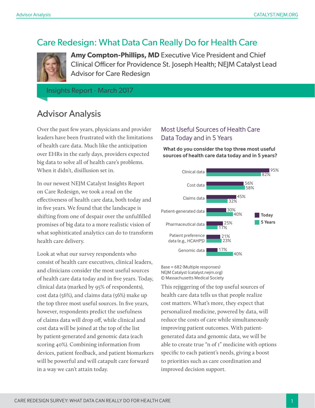### Care Redesign: What Data Can Really Do for Health Care



**Amy Compton-Phillips, MD** Executive Vice President and Chief Clinical Officer for Providence St. Joseph Health; NEJM Catalyst Lead Advisor for Care Redesign

Insights Report · March 2017

### Advisor Analysis

Over the past few years, physicians and provider leaders have been frustrated with the limitations of health care data. Much like the anticipation over EHRs in the early days, providers expected big data to solve all of health care's problems. When it didn't, disillusion set in.

In our newest NEJM Catalyst Insights Report on Care Redesign, we took a read on the effectiveness of health care data, both today and in five years. We found that the landscape is shifting from one of despair over the unfulfilled promises of big data to a more realistic vision of what sophisticated analytics can do to transform health care delivery.

Look at what our survey respondents who consist of health care executives, clinical leaders, and clinicians consider the most useful sources of health care data today and in five years. Today, clinical data (marked by 95% of respondents), cost data (56%), and claims data (56%) make up the top three most useful sources. In five years, however, respondents predict the usefulness of claims data will drop off, while clinical and cost data will be joined at the top of the list by patient-generated and genomic data (each scoring 40%). Combining information from devices, patient feedback, and patient biomarkers will be powerful and will catapult care forward in a way we can't attain today.

#### Most Useful Sources of Health Care Data Today and in 5 Years

**What do you consider the top three most useful sources of health care data today and in 5 years?**



Base = 682 (Multiple responses) NEJM Catalyst (catalyst.nejm.org) © Massachusetts Medical Society

This rejiggering of the top useful sources of health care data tells us that people realize cost matters. What's more, they expect that personalized medicine, powered by data, will reduce the costs of care while simultaneously improving patient outcomes. With patientgenerated data and genomic data, we will be able to create true "n of 1" medicine with options specific to each patient's needs, giving a boost to priorities such as care coordination and improved decision support.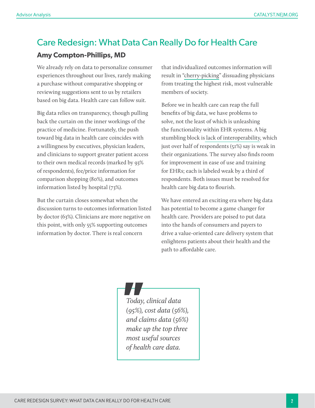## Care Redesign: What Data Can Really Do for Health Care

#### **Amy Compton-Phillips, MD**

We already rely on data to personalize consumer experiences throughout our lives, rarely making a purchase without comparative shopping or reviewing suggestions sent to us by retailers based on big data. Health care can follow suit.

Big data relies on transparency, though pulling back the curtain on the inner workings of the practice of medicine. Fortunately, the push toward big data in health care coincides with a willingness by executives, physician leaders, and clinicians to support greater patient access to their own medical records (marked by 93% of respondents), fee/price information for comparison shopping (80%), and outcomes information listed by hospital (73%).

But the curtain closes somewhat when the discussion turns to outcomes information listed by doctor (63%). Clinicians are more negative on this point, with only 55% supporting outcomes information by doctor. There is real concern

that individualized outcomes information will result in ["cherry-picking"](http://www.nejm.org/doi/full/10.1056/NEJMp1409696) dissuading physicians from treating the highest risk, most vulnerable members of society.

Before we in health care can reap the full benefits of big data, we have problems to solve, not the least of which is unleashing the functionality within EHR systems. A big stumbling block i[s lack of interoperability,](http://catalyst.nejm.org/ehr-interoperability-blame-game/) which just over half of respondents (51%) say is weak in their organizations. The survey also finds room for improvement in ease of use and training for EHRs; each is labeled weak by a third of respondents. Both issues must be resolved for health care big data to flourish.

We have entered an exciting era where big data has potential to become a game changer for health care. Providers are poised to put data into the hands of consumers and payers to drive a value-oriented care delivery system that enlightens patients about their health and the path to affordable care.



*Today, clinical data (95%), cost data (56%), and claims data (56%) make up the top three most useful sources of health care data.*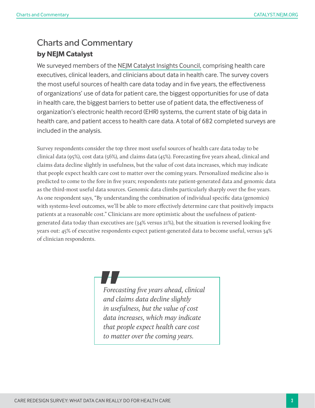### Charts and Commentary **by NEJM Catalyst**

We surveyed members of the [NEJM Catalyst Insights Council,](http://join.catalyst.nejm.org/insights-council) comprising health care executives, clinical leaders, and clinicians about data in health care. The survey covers the most useful sources of health care data today and in five years, the effectiveness of organizations' use of data for patient care, the biggest opportunities for use of data in health care, the biggest barriers to better use of patient data, the effectiveness of organization's electronic health record (EHR) systems, the current state of big data in health care, and patient access to health care data. A total of 682 completed surveys are included in the analysis.

Survey respondents consider the top three most useful sources of health care data today to be clinical data (95%), cost data (56%), and claims data (45%). Forecasting five years ahead, clinical and claims data decline slightly in usefulness, but the value of cost data increases, which may indicate that people expect health care cost to matter over the coming years. Personalized medicine also is predicted to come to the fore in five years; respondents rate patient-generated data and genomic data as the third-most useful data sources. Genomic data climbs particularly sharply over the five years. As one respondent says, "By understanding the combination of individual specific data (genomics) with systems-level outcomes, we'll be able to more effectively determine care that positively impacts patients at a reasonable cost." Clinicians are more optimistic about the usefulness of patientgenerated data today than executives are (34% versus 21%), but the situation is reversed looking five years out: 45% of executive respondents expect patient-generated data to become useful, versus 34% of clinician respondents.

> *Forecasting five years ahead, clinical and claims data decline slightly in usefulness, but the value of cost data increases, which may indicate that people expect health care cost to matter over the coming years.*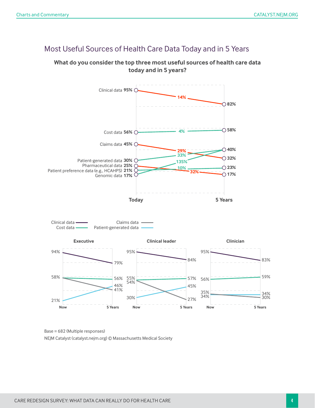#### Most Useful Sources of Health Care Data Today and in 5 Years

#### **What do you consider the top three most useful sources of health care data today and in 5 years?**



Base = 682 (Multiple responses) NEJM Catalyst (catalyst.nejm.org) © Massachusetts Medical Society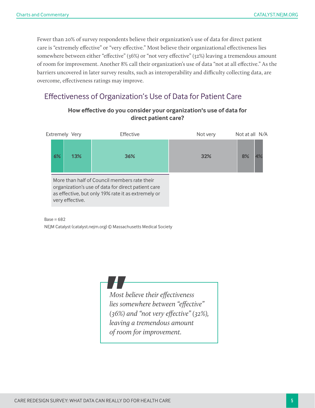Fewer than 20% of survey respondents believe their organization's use of data for direct patient care is "extremely effective" or "very effective." Most believe their organizational effectiveness lies somewhere between either "effective" (36%) or "not very effective" (32%) leaving a tremendous amount of room for improvement. Another 8% call their organization's use of data "not at all effective." As the barriers uncovered in later survey results, such as interoperability and difficulty collecting data, are overcome, effectiveness ratings may improve.

#### Effectiveness of Organization's Use of Data for Patient Care



#### **How effective do you consider your organization's use of data for direct patient care?**

 $Base = 682$ NEJM Catalyst (catalyst.nejm.org) © Massachusetts Medical Society

> *Most believe their effectiveness lies somewhere between "effective" (36%) and "not very effective" (32%), leaving a tremendous amount of room for improvement.*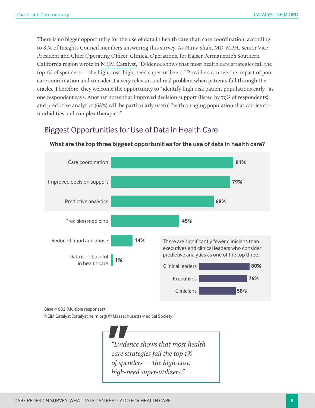There is no bigger opportunity for the use of data in health care than care coordination, according to 81% of Insights Council members answering this survey. As Nirav Shah, MD, MPH, Senior Vice President and Chief Operating Officer, Clinical Operations, for Kaiser Permanente's Southern California region wrote in [NEJM Catalyst](http://catalyst.nejm.org/health-care-that-targets-unmet-social-needs/), "Evidence shows that most health care strategies fail the top 1% of spenders — the high-cost, high-need super-utilizers." Providers can see the impact of poor care coordination and consider it a very relevant and real problem when patients fall through the cracks. Therefore, they welcome the opportunity to "identify high-risk patient populations early," as one respondent says. Another notes that improved decision support (listed by 79% of respondents) and predictive analytics (68%) will be particularly useful "with an aging population that carries comorbidities and complex therapies."

#### Biggest Opportunities for Use of Data in Health Care



#### **What are the top three biggest opportunities for the use of data in health care?**

Base = 682 (Multiple responses)

NEJM Catalyst (catalyst.nejm.org) © Massachusetts Medical Society

*"Evidence shows that most health care strategies fail the top 1% of spenders — the high-cost, high-need super-utilizers."*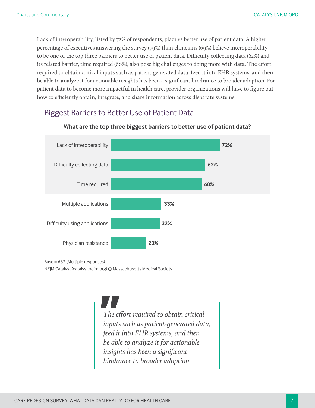Lack of interoperability, listed by 72% of respondents, plagues better use of patient data. A higher percentage of executives answering the survey (79%) than clinicians (69%) believe interoperability to be one of the top three barriers to better use of patient data. Difficulty collecting data (62%) and its related barrier, time required (60%), also pose big challenges to doing more with data. The effort required to obtain critical inputs such as patient-generated data, feed it into EHR systems, and then be able to analyze it for actionable insights has been a significant hindrance to broader adoption. For patient data to become more impactful in health care, provider organizations will have to figure out how to efficiently obtain, integrate, and share information across disparate systems.

### Biggest Barriers to Better Use of Patient Data



#### **What are the top three biggest barriers to better use of patient data?**

Base = 682 (Multiple responses)

NEJM Catalyst (catalyst.nejm.org) © Massachusetts Medical Society

*The effort required to obtain critical inputs such as patient-generated data, feed it into EHR systems, and then be able to analyze it for actionable insights has been a significant hindrance to broader adoption.*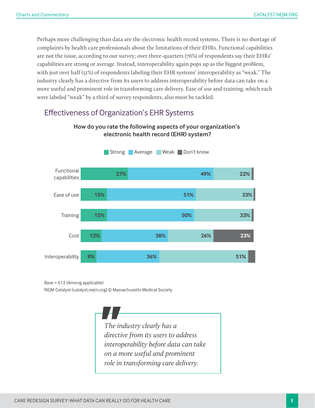Perhaps more challenging than data are the electronic health record systems. There is no shortage of complaints by health care professionals about the limitations of their EHRs. Functional capabilities are not the issue, according to our survey; over three-quarters (76%) of respondents say their EHRs' capabilities are strong or average. Instead, interoperability again pops up as the biggest problem, with just over half (51%) of respondents labeling their EHR systems' interoperability as "weak." The industry clearly has a directive from its users to address interoperability before data can take on a more useful and prominent role in transforming care delivery. Ease of use and training, which each were labeled "weak" by a third of survey respondents, also must be tackled.

#### Effectiveness of Organization's EHR Systems



#### **How do you rate the following aspects of your organization's electronic health record (EHR) system?**

Base = 612 (Among applicable)

NEJM Catalyst (catalyst.nejm.org) © Massachusetts Medical Society

*The industry clearly has a directive from its users to address interoperability before data can take on a more useful and prominent role in transforming care delivery.*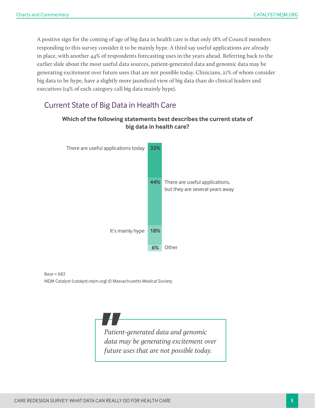A positive sign for the coming of age of big data in health care is that only 18% of Council members responding to this survey consider it to be mainly hype. A third say useful applications are already in place, with another 44% of respondents forecasting uses in the years ahead. Referring back to the earlier slide about the most useful data sources, patient-generated data and genomic data may be generating excitement over future uses that are not possible today. Clinicians, 21% of whom consider big data to be hype, have a slightly more jaundiced view of big data than do clinical leaders and executives (14% of each category call big data mainly hype).

#### Current State of Big Data in Health Care



#### **Which of the following statements best describes the current state of big data in health care?**

 $Base = 682$ NEJM Catalyst (catalyst.nejm.org) © Massachusetts Medical Society

> *Patient-generated data and genomic data may be generating excitement over future uses that are not possible today.*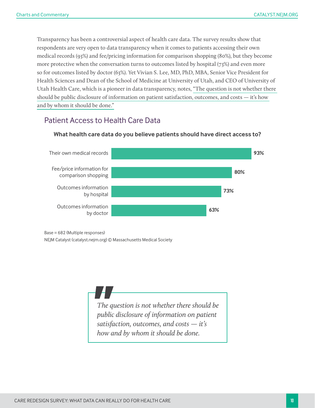Transparency has been a controversial aspect of health care data. The survey results show that respondents are very open to data transparency when it comes to patients accessing their own medical records (93%) and fee/pricing information for comparison shopping (80%), but they become more protective when the conversation turns to outcomes listed by hospital (73%) and even more so for outcomes listed by doctor (63%). Yet Vivian S. Lee, MD, PhD, MBA, Senior Vice President for Health Sciences and Dean of the School of Medicine at University of Utah, and CEO of University of Utah Health Care, which is a pioneer in data transparency, notes, ["The question is not whether there](http://catalyst.nejm.org/transparency-trust-online-patient-reviews/)  [should be public disclosure of information on patient satisfaction, outcomes, and costs — it's how](http://catalyst.nejm.org/transparency-trust-online-patient-reviews/)  [and by whom it should be done."](http://catalyst.nejm.org/transparency-trust-online-patient-reviews/)

#### Patient Access to Health Care Data



**What health care data do you believe patients should have direct access to?**

Base = 682 (Multiple responses)

NEJM Catalyst (catalyst.nejm.org) © Massachusetts Medical Society

*The question is not whether there should be public disclosure of information on patient satisfaction, outcomes, and costs — it's how and by whom it should be done.*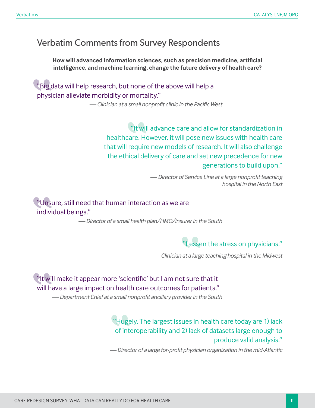### Verbatim Comments from Survey Respondents

**How will advanced information sciences, such as precision medicine, artificial intelligence, and machine learning, change the future delivery of health care?**

"Big data will help research, but none of the above will help a physician alleviate morbidity or mortality."

*— Clinician at a small nonprofit clinic in the Pacific West*

"It will advance care and allow for standardization in healthcare. However, it will pose new issues with health care that will require new models of research. It will also challenge the ethical delivery of care and set new precedence for new generations to build upon."

> *— Director of Service Line at a large nonprofit teaching hospital in the North East*

"Unsure, still need that human interaction as we are individual beings."

*— Director of a small health plan/HMO/insurer in the South*

essen the stress on physicians."

*— Clinician at a large teaching hospital in the Midwest*

"It will make it appear more 'scientific' but I am not sure that it will have a large impact on health care outcomes for patients."

*— Department Chief at a small nonprofit ancillary provider in the South*

"Hugely. The largest issues in health care today are 1) lack of interoperability and 2) lack of datasets large enough to produce valid analysis."

*— Director of a large for-profit physician organization in the mid-Atlantic*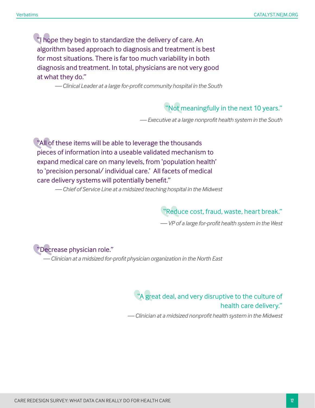"I hope they begin to standardize the delivery of care. An algorithm based approach to diagnosis and treatment is best for most situations. There is far too much variability in both diagnosis and treatment. In total, physicians are not very good at what they do."

*— Clinical Leader at a large for-profit community hospital in the South*

"Not meaningfully in the next 10 years."

*— Executive at a large nonprofit health system in the South*

"All of these items will be able to leverage the thousands pieces of information into a useable validated mechanism to expand medical care on many levels, from 'population health' to 'precision personal/ individual care.' All facets of medical care delivery systems will potentially benefit."

*— Chief of Service Line at a midsized teaching hospital in the Midwest* 

"Reduce cost, fraud, waste, heart break."

*— VP of a large for-profit health system in the West* 

"Decrease physician role."

*— Clinician at a midsized for-profit physician organization in the North East*

"A great deal, and very disruptive to the culture of health care delivery."

*— Clinician at a midsized nonprofit health system in the Midwest*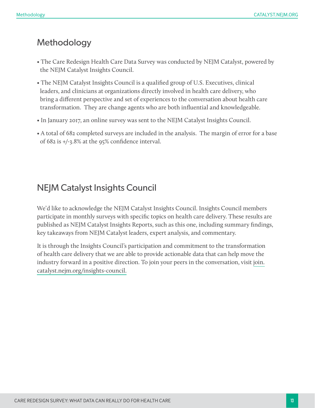### Methodology

- The Care Redesign Health Care Data Survey was conducted by NEJM Catalyst, powered by the NEJM Catalyst Insights Council.
- The NEJM Catalyst Insights Council is a qualified group of U.S. Executives, clinical leaders, and clinicians at organizations directly involved in health care delivery, who bring a different perspective and set of experiences to the conversation about health care transformation. They are change agents who are both influential and knowledgeable.
- In January 2017, an online survey was sent to the NEJM Catalyst Insights Council.
- A total of 682 completed surveys are included in the analysis. The margin of error for a base of 682 is +/-3.8% at the 95% confidence interval.

### NEJM Catalyst Insights Council

We'd like to acknowledge the NEJM Catalyst Insights Council. Insights Council members participate in monthly surveys with specific topics on health care delivery. These results are published as NEJM Catalyst Insights Reports, such as this one, including summary findings, key takeaways from NEJM Catalyst leaders, expert analysis, and commentary.

It is through the Insights Council's participation and commitment to the transformation of health care delivery that we are able to provide actionable data that can help move the industry forward in a positive direction. To join your peers in the conversation, visit [join.](http://join.catalyst.nejm.org/insights-council) [catalyst.nejm.org/insights-council.](http://join.catalyst.nejm.org/insights-council)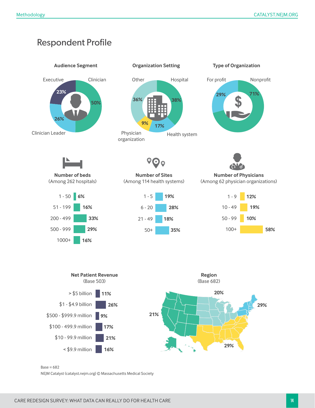### Respondent Profile



 $Base = 682$ 

NEJM Catalyst (catalyst.nejm.org) © Massachusetts Medical Society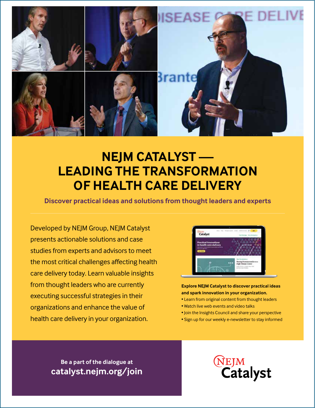

# **NEJM CATALYST — LEADING THE TRANSFORMATION OF HEALTH CARE DELIVERY**

**Discover practical ideas and solutions from thought leaders and experts**

Developed by NEJM Group, NEJM Catalyst presents actionable solutions and case studies from experts and advisors to meet the most critical challenges affecting health care delivery today. Learn valuable insights from thought leaders who are currently executing successful strategies in their organizations and enhance the value of health care delivery in your organization.



**Explore NEJM Catalyst to discover practical ideas and spark innovation in your organization.**

- Learn from original content from thought leaders
- Watch live web events and video talks
- Join the Insights Council and share your perspective
- Sign up for our weekly e-newsletter to stay informed

**Be a part of the dialogue at catalyst.nejm.org/join** **NEJM**<br>Catalyst